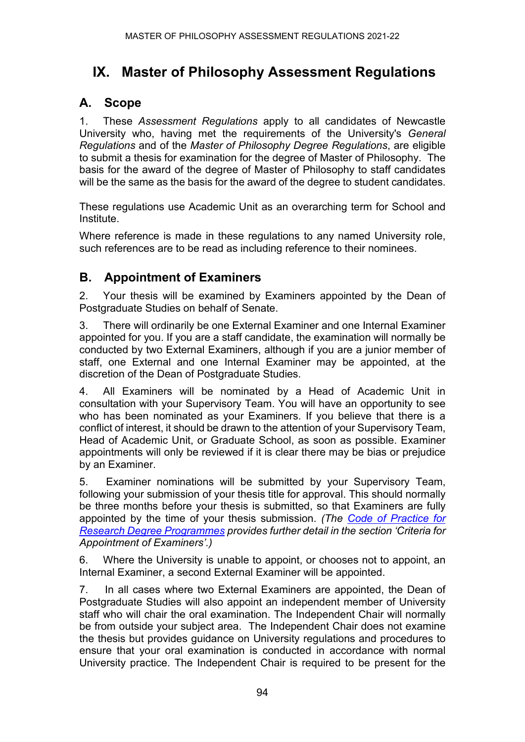# **IX. Master of Philosophy Assessment Regulations**

### **A. Scope**

1. These *Assessment Regulations* apply to all candidates of Newcastle University who, having met the requirements of the University's *General Regulations* and of the *Master of Philosophy Degree Regulations*, are eligible to submit a thesis for examination for the degree of Master of Philosophy. The basis for the award of the degree of Master of Philosophy to staff candidates will be the same as the basis for the award of the degree to student candidates.

These regulations use Academic Unit as an overarching term for School and Institute.

Where reference is made in these regulations to any named University role, such references are to be read as including reference to their nominees.

### **B. Appointment of Examiners**

2. Your thesis will be examined by Examiners appointed by the Dean of Postgraduate Studies on behalf of Senate.

3. There will ordinarily be one External Examiner and one Internal Examiner appointed for you. If you are a staff candidate, the examination will normally be conducted by two External Examiners, although if you are a junior member of staff, one External and one Internal Examiner may be appointed, at the discretion of the Dean of Postgraduate Studies.

4. All Examiners will be nominated by a Head of Academic Unit in consultation with your Supervisory Team. You will have an opportunity to see who has been nominated as your Examiners. If you believe that there is a conflict of interest, it should be drawn to the attention of your Supervisory Team, Head of Academic Unit, or Graduate School, as soon as possible. Examiner appointments will only be reviewed if it is clear there may be bias or prejudice by an Examiner.

5. Examiner nominations will be submitted by your Supervisory Team, following your submission of your thesis title for approval. This should normally be three months before your thesis is submitted, so that Examiners are fully appointed by the time of your thesis submission. *(The [Code of Practice for](https://www.ncl.ac.uk/student-progress/pgr/publications/)  [Research Degree Programmes](https://www.ncl.ac.uk/student-progress/pgr/publications/) provides further detail in the section 'Criteria for Appointment of Examiners'.)*

6. Where the University is unable to appoint, or chooses not to appoint, an Internal Examiner, a second External Examiner will be appointed.

7. In all cases where two External Examiners are appointed, the Dean of Postgraduate Studies will also appoint an independent member of University staff who will chair the oral examination. The Independent Chair will normally be from outside your subject area. The Independent Chair does not examine the thesis but provides guidance on University regulations and procedures to ensure that your oral examination is conducted in accordance with normal University practice. The Independent Chair is required to be present for the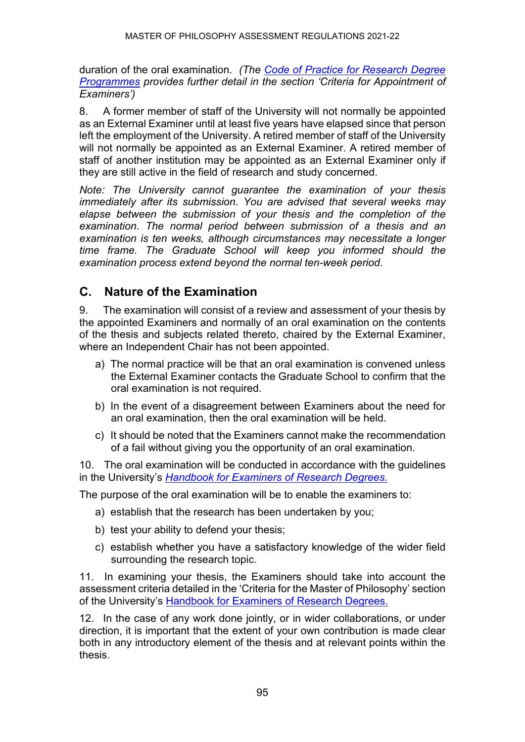duration of the oral examination. *(The [Code of Practice for Research Degree](https://www.ncl.ac.uk/student-progress/pgr/publications/)  [Programmes](https://www.ncl.ac.uk/student-progress/pgr/publications/) provides further detail in the section 'Criteria for Appointment of Examiners')*

8. A former member of staff of the University will not normally be appointed as an External Examiner until at least five years have elapsed since that person left the employment of the University. A retired member of staff of the University will not normally be appointed as an External Examiner. A retired member of staff of another institution may be appointed as an External Examiner only if they are still active in the field of research and study concerned.

*Note: The University cannot guarantee the examination of your thesis immediately after its submission. You are advised that several weeks may elapse between the submission of your thesis and the completion of the examination. The normal period between submission of a thesis and an examination is ten weeks, although circumstances may necessitate a longer time frame. The Graduate School will keep you informed should the examination process extend beyond the normal ten-week period.*

### **C. Nature of the Examination**

9. The examination will consist of a review and assessment of your thesis by the appointed Examiners and normally of an oral examination on the contents of the thesis and subjects related thereto, chaired by the External Examiner, where an Independent Chair has not been appointed.

- a) The normal practice will be that an oral examination is convened unless the External Examiner contacts the Graduate School to confirm that the oral examination is not required.
- b) In the event of a disagreement between Examiners about the need for an oral examination, then the oral examination will be held.
- c) It should be noted that the Examiners cannot make the recommendation of a fail without giving you the opportunity of an oral examination.

10. The oral examination will be conducted in accordance with the guidelines in the University's *[Handbook for Examiners of Research Degrees.](https://www.ncl.ac.uk/student-progress/pgr/publications/)*

The purpose of the oral examination will be to enable the examiners to:

- a) establish that the research has been undertaken by you;
- b) test your ability to defend your thesis;
- c) establish whether you have a satisfactory knowledge of the wider field surrounding the research topic.

11. In examining your thesis, the Examiners should take into account the assessment criteria detailed in the 'Criteria for the Master of Philosophy' section of the University's [Handbook for Examiners of Research Degrees.](https://www.ncl.ac.uk/student-progress/pgr/publications/)

12. In the case of any work done jointly, or in wider collaborations, or under direction, it is important that the extent of your own contribution is made clear both in any introductory element of the thesis and at relevant points within the thesis.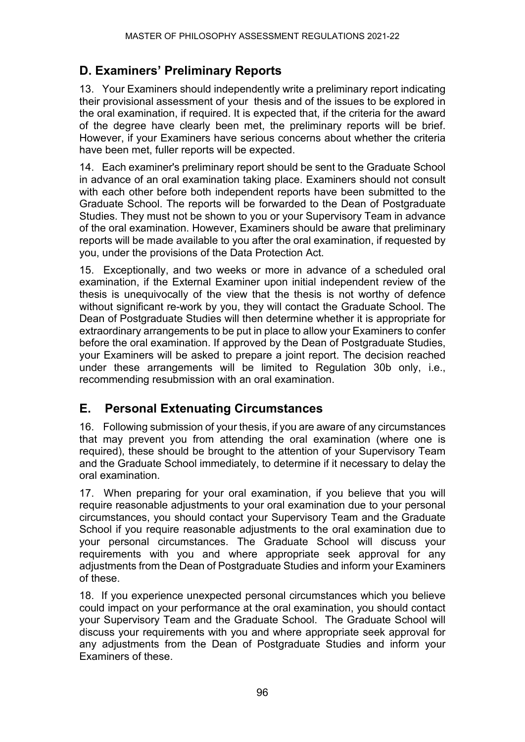# **D. Examiners' Preliminary Reports**

13. Your Examiners should independently write a preliminary report indicating their provisional assessment of your thesis and of the issues to be explored in the oral examination, if required. It is expected that, if the criteria for the award of the degree have clearly been met, the preliminary reports will be brief. However, if your Examiners have serious concerns about whether the criteria have been met, fuller reports will be expected.

14. Each examiner's preliminary report should be sent to the Graduate School in advance of an oral examination taking place. Examiners should not consult with each other before both independent reports have been submitted to the Graduate School. The reports will be forwarded to the Dean of Postgraduate Studies. They must not be shown to you or your Supervisory Team in advance of the oral examination. However, Examiners should be aware that preliminary reports will be made available to you after the oral examination, if requested by you, under the provisions of the Data Protection Act.

15. Exceptionally, and two weeks or more in advance of a scheduled oral examination, if the External Examiner upon initial independent review of the thesis is unequivocally of the view that the thesis is not worthy of defence without significant re-work by you, they will contact the Graduate School. The Dean of Postgraduate Studies will then determine whether it is appropriate for extraordinary arrangements to be put in place to allow your Examiners to confer before the oral examination. If approved by the Dean of Postgraduate Studies, your Examiners will be asked to prepare a joint report. The decision reached under these arrangements will be limited to Regulation 30b only, i.e., recommending resubmission with an oral examination.

### **E. Personal Extenuating Circumstances**

16. Following submission of your thesis, if you are aware of any circumstances that may prevent you from attending the oral examination (where one is required), these should be brought to the attention of your Supervisory Team and the Graduate School immediately, to determine if it necessary to delay the oral examination.

17. When preparing for your oral examination, if you believe that you will require reasonable adjustments to your oral examination due to your personal circumstances, you should contact your Supervisory Team and the Graduate School if you require reasonable adjustments to the oral examination due to your personal circumstances. The Graduate School will discuss your requirements with you and where appropriate seek approval for any adjustments from the Dean of Postgraduate Studies and inform your Examiners of these.

18. If you experience unexpected personal circumstances which you believe could impact on your performance at the oral examination, you should contact your Supervisory Team and the Graduate School. The Graduate School will discuss your requirements with you and where appropriate seek approval for any adjustments from the Dean of Postgraduate Studies and inform your Examiners of these.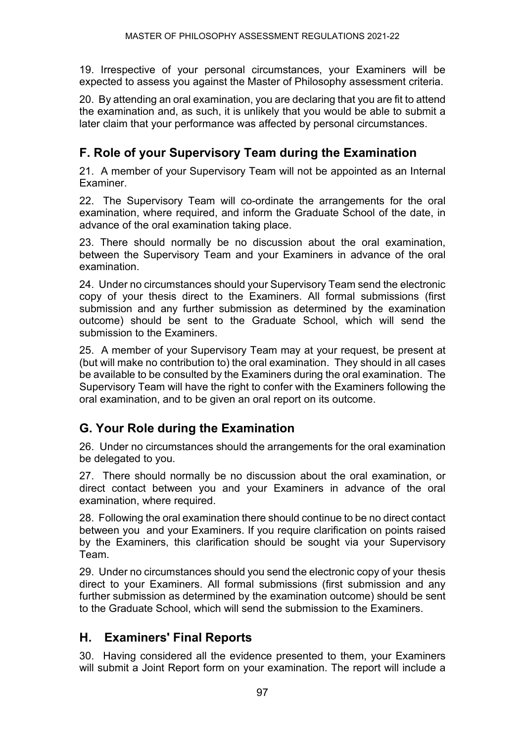19. Irrespective of your personal circumstances, your Examiners will be expected to assess you against the Master of Philosophy assessment criteria.

20. By attending an oral examination, you are declaring that you are fit to attend the examination and, as such, it is unlikely that you would be able to submit a later claim that your performance was affected by personal circumstances.

# **F. Role of your Supervisory Team during the Examination**

21. A member of your Supervisory Team will not be appointed as an Internal Examiner.

22. The Supervisory Team will co-ordinate the arrangements for the oral examination, where required, and inform the Graduate School of the date, in advance of the oral examination taking place.

23. There should normally be no discussion about the oral examination, between the Supervisory Team and your Examiners in advance of the oral examination.

24. Under no circumstances should your Supervisory Team send the electronic copy of your thesis direct to the Examiners. All formal submissions (first submission and any further submission as determined by the examination outcome) should be sent to the Graduate School, which will send the submission to the Examiners.

25. A member of your Supervisory Team may at your request, be present at (but will make no contribution to) the oral examination. They should in all cases be available to be consulted by the Examiners during the oral examination. The Supervisory Team will have the right to confer with the Examiners following the oral examination, and to be given an oral report on its outcome.

# **G. Your Role during the Examination**

26. Under no circumstances should the arrangements for the oral examination be delegated to you.

27. There should normally be no discussion about the oral examination, or direct contact between you and your Examiners in advance of the oral examination, where required.

28. Following the oral examination there should continue to be no direct contact between you and your Examiners. If you require clarification on points raised by the Examiners, this clarification should be sought via your Supervisory Team.

29. Under no circumstances should you send the electronic copy of your thesis direct to your Examiners. All formal submissions (first submission and any further submission as determined by the examination outcome) should be sent to the Graduate School, which will send the submission to the Examiners.

# **H. Examiners' Final Reports**

30. Having considered all the evidence presented to them, your Examiners will submit a Joint Report form on your examination. The report will include a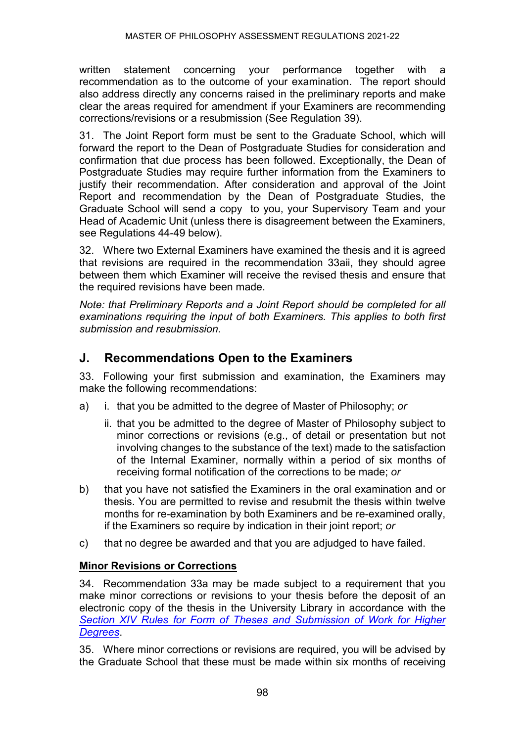written statement concerning your performance together with a recommendation as to the outcome of your examination. The report should also address directly any concerns raised in the preliminary reports and make clear the areas required for amendment if your Examiners are recommending corrections/revisions or a resubmission (See Regulation 39).

31. The Joint Report form must be sent to the Graduate School, which will forward the report to the Dean of Postgraduate Studies for consideration and confirmation that due process has been followed. Exceptionally, the Dean of Postgraduate Studies may require further information from the Examiners to justify their recommendation. After consideration and approval of the Joint Report and recommendation by the Dean of Postgraduate Studies, the Graduate School will send a copy to you, your Supervisory Team and your Head of Academic Unit (unless there is disagreement between the Examiners, see Regulations 44-49 below).

32. Where two External Examiners have examined the thesis and it is agreed that revisions are required in the recommendation 33aii, they should agree between them which Examiner will receive the revised thesis and ensure that the required revisions have been made.

*Note: that Preliminary Reports and a Joint Report should be completed for all examinations requiring the input of both Examiners. This applies to both first submission and resubmission.*

### **J. Recommendations Open to the Examiners**

33. Following your first submission and examination, the Examiners may make the following recommendations:

- a) i. that you be admitted to the degree of Master of Philosophy; *or*
	- ii. that you be admitted to the degree of Master of Philosophy subject to minor corrections or revisions (e.g., of detail or presentation but not involving changes to the substance of the text) made to the satisfaction of the Internal Examiner, normally within a period of six months of receiving formal notification of the corrections to be made; *or*
- b) that you have not satisfied the Examiners in the oral examination and or thesis. You are permitted to revise and resubmit the thesis within twelve months for re-examination by both Examiners and be re-examined orally, if the Examiners so require by indication in their joint report; *or*
- c) that no degree be awarded and that you are adjudged to have failed.

#### **Minor Revisions or Corrections**

34. Recommendation 33a may be made subject to a requirement that you make minor corrections or revisions to your thesis before the deposit of an electronic copy of the thesis in the University Library in accordance with the *[Section XIV Rules for Form of Theses and Submission of Work for Higher](https://www.ncl.ac.uk/regulations/docs/)  [Degrees](https://www.ncl.ac.uk/regulations/docs/)*.

35. Where minor corrections or revisions are required, you will be advised by the Graduate School that these must be made within six months of receiving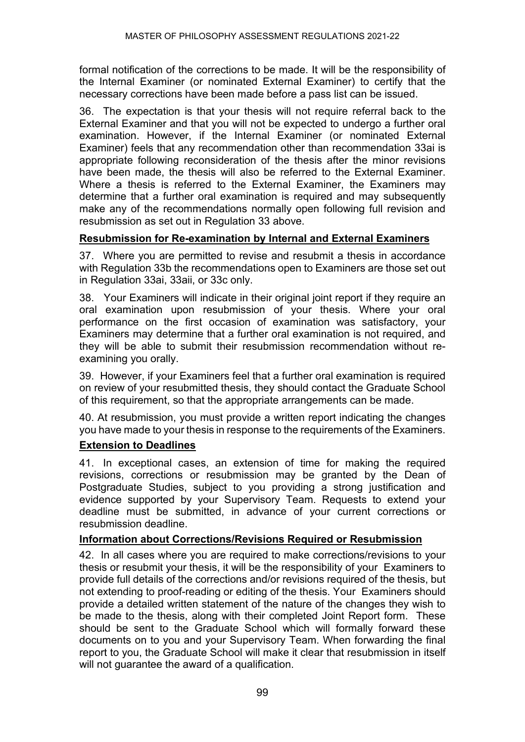formal notification of the corrections to be made. It will be the responsibility of the Internal Examiner (or nominated External Examiner) to certify that the necessary corrections have been made before a pass list can be issued.

36. The expectation is that your thesis will not require referral back to the External Examiner and that you will not be expected to undergo a further oral examination. However, if the Internal Examiner (or nominated External Examiner) feels that any recommendation other than recommendation 33ai is appropriate following reconsideration of the thesis after the minor revisions have been made, the thesis will also be referred to the External Examiner. Where a thesis is referred to the External Examiner, the Examiners may determine that a further oral examination is required and may subsequently make any of the recommendations normally open following full revision and resubmission as set out in Regulation 33 above.

#### **Resubmission for Re-examination by Internal and External Examiners**

37. Where you are permitted to revise and resubmit a thesis in accordance with Regulation 33b the recommendations open to Examiners are those set out in Regulation 33ai, 33aii, or 33c only.

38. Your Examiners will indicate in their original joint report if they require an oral examination upon resubmission of your thesis. Where your oral performance on the first occasion of examination was satisfactory, your Examiners may determine that a further oral examination is not required, and they will be able to submit their resubmission recommendation without reexamining you orally.

39. However, if your Examiners feel that a further oral examination is required on review of your resubmitted thesis, they should contact the Graduate School of this requirement, so that the appropriate arrangements can be made.

40. At resubmission, you must provide a written report indicating the changes you have made to your thesis in response to the requirements of the Examiners.

#### **Extension to Deadlines**

41. In exceptional cases, an extension of time for making the required revisions, corrections or resubmission may be granted by the Dean of Postgraduate Studies, subject to you providing a strong justification and evidence supported by your Supervisory Team. Requests to extend your deadline must be submitted, in advance of your current corrections or resubmission deadline.

#### **Information about Corrections/Revisions Required or Resubmission**

42. In all cases where you are required to make corrections/revisions to your thesis or resubmit your thesis, it will be the responsibility of your Examiners to provide full details of the corrections and/or revisions required of the thesis, but not extending to proof-reading or editing of the thesis. Your Examiners should provide a detailed written statement of the nature of the changes they wish to be made to the thesis, along with their completed Joint Report form. These should be sent to the Graduate School which will formally forward these documents on to you and your Supervisory Team. When forwarding the final report to you, the Graduate School will make it clear that resubmission in itself will not quarantee the award of a qualification.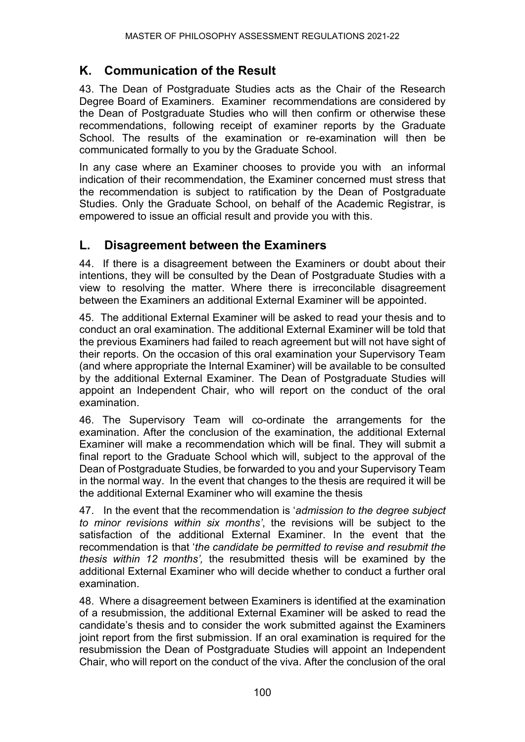# **K. Communication of the Result**

43. The Dean of Postgraduate Studies acts as the Chair of the Research Degree Board of Examiners. Examiner recommendations are considered by the Dean of Postgraduate Studies who will then confirm or otherwise these recommendations, following receipt of examiner reports by the Graduate School. The results of the examination or re-examination will then be communicated formally to you by the Graduate School.

In any case where an Examiner chooses to provide you with an informal indication of their recommendation, the Examiner concerned must stress that the recommendation is subject to ratification by the Dean of Postgraduate Studies. Only the Graduate School, on behalf of the Academic Registrar, is empowered to issue an official result and provide you with this.

### **L. Disagreement between the Examiners**

44. If there is a disagreement between the Examiners or doubt about their intentions, they will be consulted by the Dean of Postgraduate Studies with a view to resolving the matter. Where there is irreconcilable disagreement between the Examiners an additional External Examiner will be appointed.

45. The additional External Examiner will be asked to read your thesis and to conduct an oral examination. The additional External Examiner will be told that the previous Examiners had failed to reach agreement but will not have sight of their reports. On the occasion of this oral examination your Supervisory Team (and where appropriate the Internal Examiner) will be available to be consulted by the additional External Examiner. The Dean of Postgraduate Studies will appoint an Independent Chair, who will report on the conduct of the oral examination.

46. The Supervisory Team will co-ordinate the arrangements for the examination. After the conclusion of the examination, the additional External Examiner will make a recommendation which will be final. They will submit a final report to the Graduate School which will, subject to the approval of the Dean of Postgraduate Studies, be forwarded to you and your Supervisory Team in the normal way. In the event that changes to the thesis are required it will be the additional External Examiner who will examine the thesis

47. In the event that the recommendation is '*admission to the degree subject to minor revisions within six months'*, the revisions will be subject to the satisfaction of the additional External Examiner. In the event that the recommendation is that '*the candidate be permitted to revise and resubmit the thesis within 12 months',* the resubmitted thesis will be examined by the additional External Examiner who will decide whether to conduct a further oral examination.

48. Where a disagreement between Examiners is identified at the examination of a resubmission, the additional External Examiner will be asked to read the candidate's thesis and to consider the work submitted against the Examiners joint report from the first submission. If an oral examination is required for the resubmission the Dean of Postgraduate Studies will appoint an Independent Chair, who will report on the conduct of the viva. After the conclusion of the oral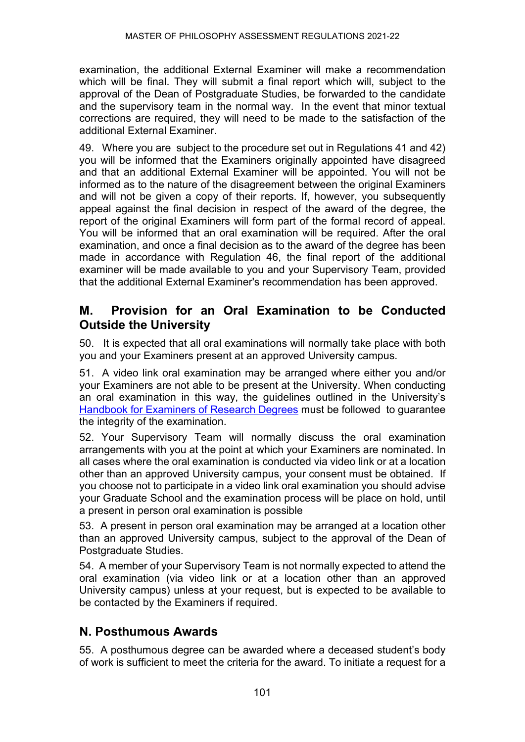examination, the additional External Examiner will make a recommendation which will be final. They will submit a final report which will, subject to the approval of the Dean of Postgraduate Studies, be forwarded to the candidate and the supervisory team in the normal way. In the event that minor textual corrections are required, they will need to be made to the satisfaction of the additional External Examiner.

49. Where you are subject to the procedure set out in Regulations 41 and 42) you will be informed that the Examiners originally appointed have disagreed and that an additional External Examiner will be appointed. You will not be informed as to the nature of the disagreement between the original Examiners and will not be given a copy of their reports. If, however, you subsequently appeal against the final decision in respect of the award of the degree, the report of the original Examiners will form part of the formal record of appeal. You will be informed that an oral examination will be required. After the oral examination, and once a final decision as to the award of the degree has been made in accordance with Regulation 46, the final report of the additional examiner will be made available to you and your Supervisory Team, provided that the additional External Examiner's recommendation has been approved.

#### **M. Provision for an Oral Examination to be Conducted Outside the University**

50. It is expected that all oral examinations will normally take place with both you and your Examiners present at an approved University campus.

51. A video link oral examination may be arranged where either you and/or your Examiners are not able to be present at the University. When conducting an oral examination in this way, the guidelines outlined in the University's [Handbook for Examiners of Research Degrees](https://www.ncl.ac.uk/students/progress/student-resources/PGR/Publications.htm) must be followed to guarantee the integrity of the examination.

52. Your Supervisory Team will normally discuss the oral examination arrangements with you at the point at which your Examiners are nominated. In all cases where the oral examination is conducted via video link or at a location other than an approved University campus, your consent must be obtained. If you choose not to participate in a video link oral examination you should advise your Graduate School and the examination process will be place on hold, until a present in person oral examination is possible

53. A present in person oral examination may be arranged at a location other than an approved University campus, subject to the approval of the Dean of Postgraduate Studies.

54. A member of your Supervisory Team is not normally expected to attend the oral examination (via video link or at a location other than an approved University campus) unless at your request, but is expected to be available to be contacted by the Examiners if required.

### **N. Posthumous Awards**

55. A posthumous degree can be awarded where a deceased student's body of work is sufficient to meet the criteria for the award. To initiate a request for a